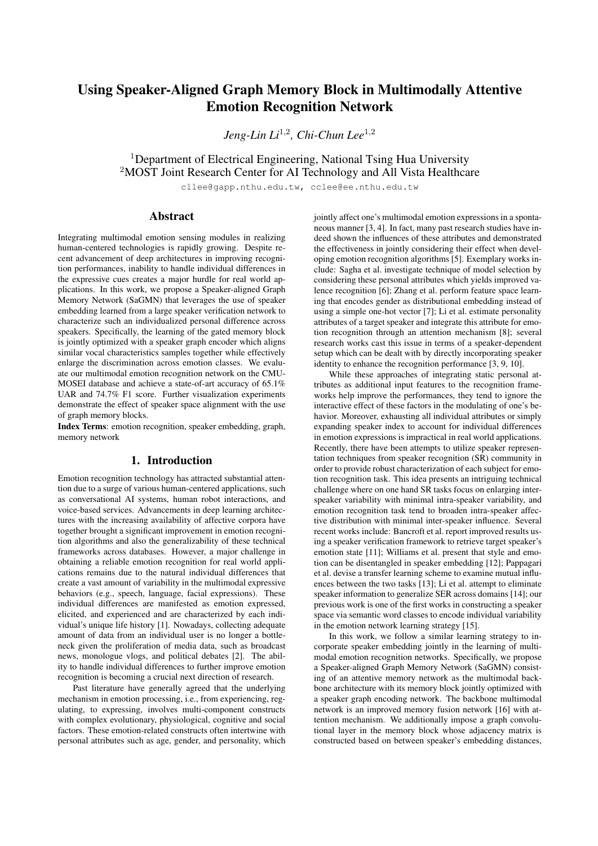# Using Speaker-Aligned Graph Memory Block in Multimodally Attentive Emotion Recognition Network

*Jeng-Lin Li*<sup>1</sup>,<sup>2</sup> *, Chi-Chun Lee*<sup>1</sup>,<sup>2</sup>

<sup>1</sup>Department of Electrical Engineering, National Tsing Hua University <sup>2</sup>MOST Joint Research Center for AI Technology and All Vista Healthcare

cllee@gapp.nthu.edu.tw, cclee@ee.nthu.edu.tw

# Abstract

Integrating multimodal emotion sensing modules in realizing human-centered technologies is rapidly growing. Despite recent advancement of deep architectures in improving recognition performances, inability to handle individual differences in the expressive cues creates a major hurdle for real world applications. In this work, we propose a Speaker-aligned Graph Memory Network (SaGMN) that leverages the use of speaker embedding learned from a large speaker verification network to characterize such an individualized personal difference across speakers. Specifically, the learning of the gated memory block is jointly optimized with a speaker graph encoder which aligns similar vocal characteristics samples together while effectively enlarge the discrimination across emotion classes. We evaluate our multimodal emotion recognition network on the CMU-MOSEI database and achieve a state-of-art accuracy of 65.1% UAR and 74.7% F1 score. Further visualization experiments demonstrate the effect of speaker space alignment with the use of graph memory blocks.

Index Terms: emotion recognition, speaker embedding, graph, memory network

# 1. Introduction

Emotion recognition technology has attracted substantial attention due to a surge of various human-centered applications, such as conversational AI systems, human robot interactions, and voice-based services. Advancements in deep learning architectures with the increasing availability of affective corpora have together brought a significant improvement in emotion recognition algorithms and also the generalizability of these technical frameworks across databases. However, a major challenge in obtaining a reliable emotion recognition for real world applications remains due to the natural individual differences that create a vast amount of variability in the multimodal expressive behaviors (e.g., speech, language, facial expressions). These individual differences are manifested as emotion expressed, elicited, and experienced and are characterized by each individual's unique life history [1]. Nowadays, collecting adequate amount of data from an individual user is no longer a bottleneck given the proliferation of media data, such as broadcast news, monologue vlogs, and political debates [2]. The ability to handle individual differences to further improve emotion recognition is becoming a crucial next direction of research.

Past literature have generally agreed that the underlying mechanism in emotion processing, i.e., from experiencing, regulating, to expressing, involves multi-component constructs with complex evolutionary, physiological, cognitive and social factors. These emotion-related constructs often intertwine with personal attributes such as age, gender, and personality, which jointly affect one's multimodal emotion expressions in a spontaneous manner [3, 4]. In fact, many past research studies have indeed shown the influences of these attributes and demonstrated the effectiveness in jointly considering their effect when developing emotion recognition algorithms [5]. Exemplary works include: Sagha et al. investigate technique of model selection by considering these personal attributes which yields improved valence recognition [6]; Zhang et al. perform feature space learning that encodes gender as distributional embedding instead of using a simple one-hot vector [7]; Li et al. estimate personality attributes of a target speaker and integrate this attribute for emotion recognition through an attention mechanism [8]; several research works cast this issue in terms of a speaker-dependent setup which can be dealt with by directly incorporating speaker identity to enhance the recognition performance [3, 9, 10].

While these approaches of integrating static personal attributes as additional input features to the recognition frameworks help improve the performances, they tend to ignore the interactive effect of these factors in the modulating of one's behavior. Moreover, exhausting all individual attributes or simply expanding speaker index to account for individual differences in emotion expressions is impractical in real world applications. Recently, there have been attempts to utilize speaker representation techniques from speaker recognition (SR) community in order to provide robust characterization of each subject for emotion recognition task. This idea presents an intriguing technical challenge where on one hand SR tasks focus on enlarging interspeaker variability with minimal intra-speaker variability, and emotion recognition task tend to broaden intra-speaker affective distribution with minimal inter-speaker influence. Several recent works include: Bancroft et al. report improved results using a speaker verification framework to retrieve target speaker's emotion state [11]; Williams et al. present that style and emotion can be disentangled in speaker embedding [12]; Pappagari et al. devise a transfer learning scheme to examine mutual influences between the two tasks [13]; Li et al. attempt to eliminate speaker information to generalize SER across domains [14]; our previous work is one of the first works in constructing a speaker space via semantic word classes to encode individual variability in the emotion network learning strategy [15].

In this work, we follow a similar learning strategy to incorporate speaker embedding jointly in the learning of multimodal emotion recognition networks. Specifically, we propose a Speaker-aligned Graph Memory Network (SaGMN) consisting of an attentive memory network as the multimodal backbone architecture with its memory block jointly optimized with a speaker graph encoding network. The backbone multimodal network is an improved memory fusion network [16] with attention mechanism. We additionally impose a graph convolutional layer in the memory block whose adjacency matrix is constructed based on between speaker's embedding distances,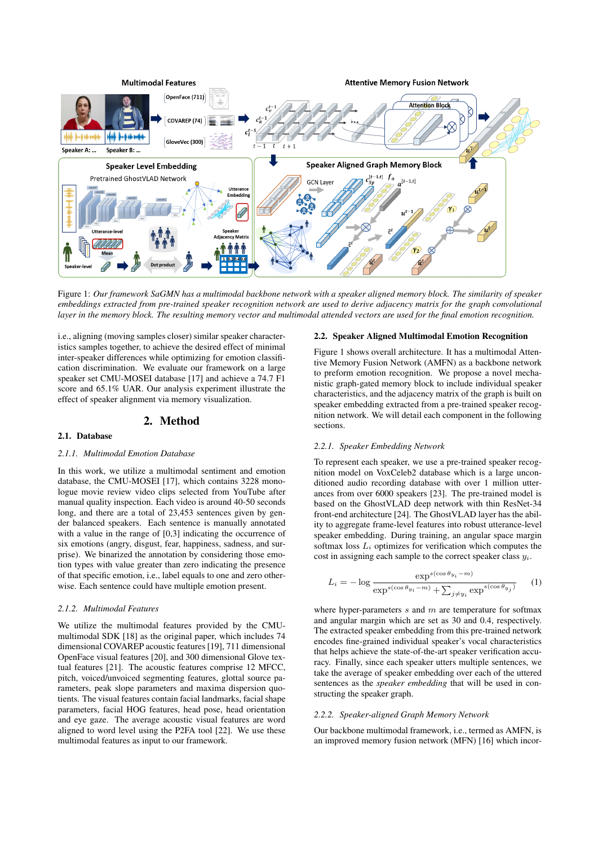

Figure 1: *Our framework SaGMN has a multimodal backbone network with a speaker aligned memory block. The similarity of speaker embeddings extracted from pre-trained speaker recognition network are used to derive adjacency matrix for the graph convolutional layer in the memory block. The resulting memory vector and multimodal attended vectors are used for the final emotion recognition.*

i.e., aligning (moving samples closer) similar speaker characteristics samples together, to achieve the desired effect of minimal inter-speaker differences while optimizing for emotion classification discrimination. We evaluate our framework on a large speaker set CMU-MOSEI database [17] and achieve a 74.7 F1 score and 65.1% UAR. Our analysis experiment illustrate the effect of speaker alignment via memory visualization.

### 2. Method

#### 2.1. Database

#### *2.1.1. Multimodal Emotion Database*

In this work, we utilize a multimodal sentiment and emotion database, the CMU-MOSEI [17], which contains 3228 monologue movie review video clips selected from YouTube after manual quality inspection. Each video is around 40-50 seconds long, and there are a total of 23,453 sentences given by gender balanced speakers. Each sentence is manually annotated with a value in the range of [0,3] indicating the occurrence of six emotions (angry, disgust, fear, happiness, sadness, and surprise). We binarized the annotation by considering those emotion types with value greater than zero indicating the presence of that specific emotion, i.e., label equals to one and zero otherwise. Each sentence could have multiple emotion present.

#### *2.1.2. Multimodal Features*

We utilize the multimodal features provided by the CMUmultimodal SDK [18] as the original paper, which includes 74 dimensional COVAREP acoustic features [19], 711 dimensional OpenFace visual features [20], and 300 dimensional Glove textual features [21]. The acoustic features comprise 12 MFCC, pitch, voiced/unvoiced segmenting features, glottal source parameters, peak slope parameters and maxima dispersion quotients. The visual features contain facial landmarks, facial shape parameters, facial HOG features, head pose, head orientation and eye gaze. The average acoustic visual features are word aligned to word level using the P2FA tool [22]. We use these multimodal features as input to our framework.

## 2.2. Speaker Aligned Multimodal Emotion Recognition

Figure 1 shows overall architecture. It has a multimodal Attentive Memory Fusion Network (AMFN) as a backbone network to preform emotion recognition. We propose a novel mechanistic graph-gated memory block to include individual speaker characteristics, and the adjacency matrix of the graph is built on speaker embedding extracted from a pre-trained speaker recognition network. We will detail each component in the following sections.

#### *2.2.1. Speaker Embedding Network*

To represent each speaker, we use a pre-trained speaker recognition model on VoxCeleb2 database which is a large unconditioned audio recording database with over 1 million utterances from over 6000 speakers [23]. The pre-trained model is based on the GhostVLAD deep network with thin ResNet-34 front-end architecture [24]. The GhostVLAD layer has the ability to aggregate frame-level features into robust utterance-level speaker embedding. During training, an angular space margin softmax loss  $L_i$  optimizes for verification which computes the cost in assigning each sample to the correct speaker class  $y_i$ .

$$
L_i = -\log \frac{\exp^{s(\cos \theta_{y_i} - m)}}{\exp^{s(\cos \theta_{y_i} - m)} + \sum_{j \neq y_i} \exp^{s(\cos \theta_{y_j})}}
$$
 (1)

where hyper-parameters  $s$  and  $m$  are temperature for softmax and angular margin which are set as 30 and 0.4, respectively. The extracted speaker embedding from this pre-trained network encodes fine-grained individual speaker's vocal characteristics that helps achieve the state-of-the-art speaker verification accuracy. Finally, since each speaker utters multiple sentences, we take the average of speaker embedding over each of the uttered sentences as the *speaker embedding* that will be used in constructing the speaker graph.

### *2.2.2. Speaker-aligned Graph Memory Network*

Our backbone multimodal framework, i.e., termed as AMFN, is an improved memory fusion network (MFN) [16] which incor-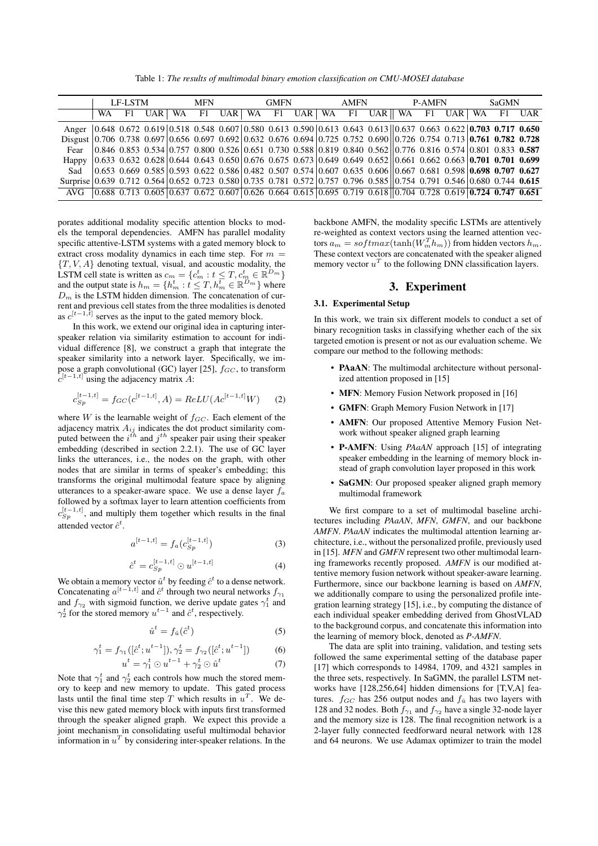Table 1: *The results of multimodal binary emotion classification on CMU-MOSEI database*

|                                                                                                                                                                                                                                   | LF-LSTM |      |  | <b>MFN</b> |  |  | <b>GMFN</b> |  |  | AMFN |  |                                                                                                                                                                                                                   | P-AMFN |  |  | <b>SaGMN</b> |  |  |
|-----------------------------------------------------------------------------------------------------------------------------------------------------------------------------------------------------------------------------------|---------|------|--|------------|--|--|-------------|--|--|------|--|-------------------------------------------------------------------------------------------------------------------------------------------------------------------------------------------------------------------|--------|--|--|--------------|--|--|
|                                                                                                                                                                                                                                   | WA      | F1 = |  |            |  |  |             |  |  |      |  | UAR WA FI UAR WA FI UAR WA FI UAR WA FI UAR WA FI UAR                                                                                                                                                             |        |  |  |              |  |  |
| Anger                                                                                                                                                                                                                             |         |      |  |            |  |  |             |  |  |      |  | $(0.648 \t0.672 \t0.619)$ $(0.518 \t0.548 \t0.607)$ $(0.580 \t0.613 \t0.590)$ $(0.613 \t0.643 \t0.613)$ $(0.637 \t0.663 \t0.622)$ $(0.703 \t0.717 \t0.650)$                                                       |        |  |  |              |  |  |
| Disgust $\vert 0.706 \vert 0.738 \vert 0.697 \vert 0.656 \vert 0.697 \vert 0.692 \vert 0.632 \vert 0.676 \vert 0.694 \vert 0.725 \vert 0.752 \vert 0.690 \vert 0.726 \vert 0.754 \vert 0.713 \vert 0.761 \vert 0.782 \vert 0.728$ |         |      |  |            |  |  |             |  |  |      |  |                                                                                                                                                                                                                   |        |  |  |              |  |  |
| Fear                                                                                                                                                                                                                              |         |      |  |            |  |  |             |  |  |      |  | $\vert 0.846 \; 0.853 \; 0.534 \vert 0.757 \; 0.800 \; 0.526 \vert 0.651 \; 0.730 \; 0.588 \vert 0.819 \; 0.840 \; 0.562 \vert 0.776 \; 0.816 \; 0.574 \vert 0.801 \; 0.833 \; 0.587$                             |        |  |  |              |  |  |
| Happy                                                                                                                                                                                                                             |         |      |  |            |  |  |             |  |  |      |  | $\parallel$ 0.633 0.632 0.628 0.644 0.643 0.650 0.676 0.675 0.673 0.649 0.649 0.652 0.661 0.662 0.663 <b>0.701 0.701 0.699</b>                                                                                    |        |  |  |              |  |  |
| Sad                                                                                                                                                                                                                               |         |      |  |            |  |  |             |  |  |      |  | $(0.653, 0.669, 0.585)$ $(0.593, 0.622, 0.586)$ $(0.482, 0.507, 0.574)$ $(0.607, 0.635, 0.606)$ $(0.667, 0.681, 0.598)$ $(0.698, 0.707, 0.627)$                                                                   |        |  |  |              |  |  |
| Surprise 0.639 0.712 0.564 0.652 0.723 0.580 0.735 0.781 0.572 0.757 0.796 0.585 0.754 0.791 0.546 0.680 0.744 0.615                                                                                                              |         |      |  |            |  |  |             |  |  |      |  |                                                                                                                                                                                                                   |        |  |  |              |  |  |
| AVG                                                                                                                                                                                                                               |         |      |  |            |  |  |             |  |  |      |  | $\left 0.688\right 0.713\left 0.605\right 0.637\left 0.672\right 0.607\left 0.626\right 0.664\left 0.615\right 0.695\left 0.719\right 0.618\left 0.704\right 0.728\left 0.619\right 0.724\left 0.747\right 0.651$ |        |  |  |              |  |  |

porates additional modality specific attention blocks to models the temporal dependencies. AMFN has parallel modality specific attentive-LSTM systems with a gated memory block to extract cross modality dynamics in each time step. For  $m =$  ${T, V, A}$  denoting textual, visual, and acoustic modality, the LSTM cell state is written as  $c_m = \{c_m^t : t \leq T, c_m^t \in \mathbb{R}^{D_m}\}\$ and the output state is  $h_m = \{h_m^t : t \leq T, h_m^t \in \mathbb{R}^{D_m}\}\$  where  $D<sub>m</sub>$  is the LSTM hidden dimension. The concatenation of current and previous cell states from the three modalities is denoted as  $c^{[t-1,\bar{t}]}$  serves as the input to the gated memory block.

In this work, we extend our original idea in capturing interspeaker relation via similarity estimation to account for individual difference [8], we construct a graph that integrate the speaker similarity into a network layer. Specifically, we impose a graph convolutional (GC) layer [25],  $f_{GC}$ , to transform  $c^{[t-1,t]}$  using the adjacency matrix A:

$$
c_{Sp}^{[t-1,t]} = f_{GC}(c^{[t-1,t]}, A) = ReLU(Ac^{[t-1,t]}W)
$$
 (2)

where  $W$  is the learnable weight of  $f_{GC}$ . Each element of the adjacency matrix  $A_{ij}$  indicates the dot product similarity computed between the  $i^{\text{th}}$  and  $j^{\text{th}}$  speaker pair using their speaker embedding (described in section 2.2.1). The use of GC layer links the utterances, i.e., the nodes on the graph, with other nodes that are similar in terms of speaker's embedding; this transforms the original multimodal feature space by aligning utterances to a speaker-aware space. We use a dense layer  $f_a$ followed by a softmax layer to learn attention coefficients from  $c_{Sp}^{[t-1,t]}$ , and multiply them together which results in the final attended vector  $\hat{c}^t$ .

$$
a^{[t-1,t]} = f_a(c_{Sp}^{[t-1,t]})
$$
\n(3)

$$
\hat{c}^t = c_{Sp}^{[t-1,t]} \odot u^{[t-1,t]}
$$
 (4)

We obtain a memory vector  $\hat{u}^t$  by feeding  $\hat{c}^t$  to a dense network. Concatenating  $a^{[t-1,t]}$  and  $\hat{c}^t$  through two neural networks  $f_{\gamma_1}$ and  $f_{\gamma_2}$  with sigmoid function, we derive update gates  $\gamma_1^t$  and  $\gamma_2^t$  for the stored memory  $u^{t-1}$  and  $\hat{c}^t$ , respectively.

$$
\hat{u}^t = f_{\hat{u}}(\hat{c}^t) \tag{5}
$$

$$
\gamma_1^t = f_{\gamma_1}([\hat{c}^t; u^{t-1}]), \gamma_2^t = f_{\gamma_2}([\hat{c}^t; u^{t-1}])
$$
 (6)

$$
u^t = \gamma_1^t \odot u^{t-1} + \gamma_2^t \odot \hat{u}^t \tag{7}
$$

Note that  $\gamma_1^t$  and  $\gamma_2^t$  each controls how much the stored memory to keep and new memory to update. This gated process lasts until the final time step T which results in  $u^T$ . We devise this new gated memory block with inputs first transformed through the speaker aligned graph. We expect this provide a joint mechanism in consolidating useful multimodal behavior information in  $u^T$  by considering inter-speaker relations. In the

backbone AMFN, the modality specific LSTMs are attentively re-weighted as context vectors using the learned attention vectors  $a_m = softmax(\text{tanh}(W_m^T h_m))$  from hidden vectors  $h_m$ . These context vectors are concatenated with the speaker aligned memory vector  $u^T$  to the following DNN classification layers.

# 3. Experiment

# 3.1. Experimental Setup

In this work, we train six different models to conduct a set of binary recognition tasks in classifying whether each of the six targeted emotion is present or not as our evaluation scheme. We compare our method to the following methods:

- PAaAN: The multimodal architecture without personalized attention proposed in [15]
- MFN: Memory Fusion Network proposed in [16]
- GMFN: Graph Memory Fusion Network in [17]
- AMFN: Our proposed Attentive Memory Fusion Network without speaker aligned graph learning
- P-AMFN: Using *PAaAN* approach [15] of integrating speaker embedding in the learning of memory block instead of graph convolution layer proposed in this work
- SaGMN: Our proposed speaker aligned graph memory multimodal framework

We first compare to a set of multimodal baseline architectures including *PAaAN*, *MFN*, *GMFN*, and our backbone *AMFN*. *PAaAN* indicates the multimodal attention learning architecture, i.e., without the personalized profile, previously used in [15]. *MFN* and *GMFN* represent two other multimodal learning frameworks recently proposed. *AMFN* is our modified attentive memory fusion network without speaker-aware learning. Furthermore, since our backbone learning is based on *AMFN*, we additionally compare to using the personalized profile integration learning strategy [15], i.e., by computing the distance of each individual speaker embedding derived from GhostVLAD to the background corpus, and concatenate this information into the learning of memory block, denoted as *P-AMFN*.

The data are split into training, validation, and testing sets followed the same experimental setting of the database paper [17] which corresponds to 14984, 1709, and 4321 samples in the three sets, respectively. In SaGMN, the parallel LSTM networks have [128,256,64] hidden dimensions for [T,V,A] features.  $f_{GC}$  has 256 output nodes and  $f_{\hat{u}}$  has two layers with 128 and 32 nodes. Both  $f_{\gamma_1}$  and  $f_{\gamma_2}$  have a single 32-node layer and the memory size is 128. The final recognition network is a 2-layer fully connected feedforward neural network with 128 and 64 neurons. We use Adamax optimizer to train the model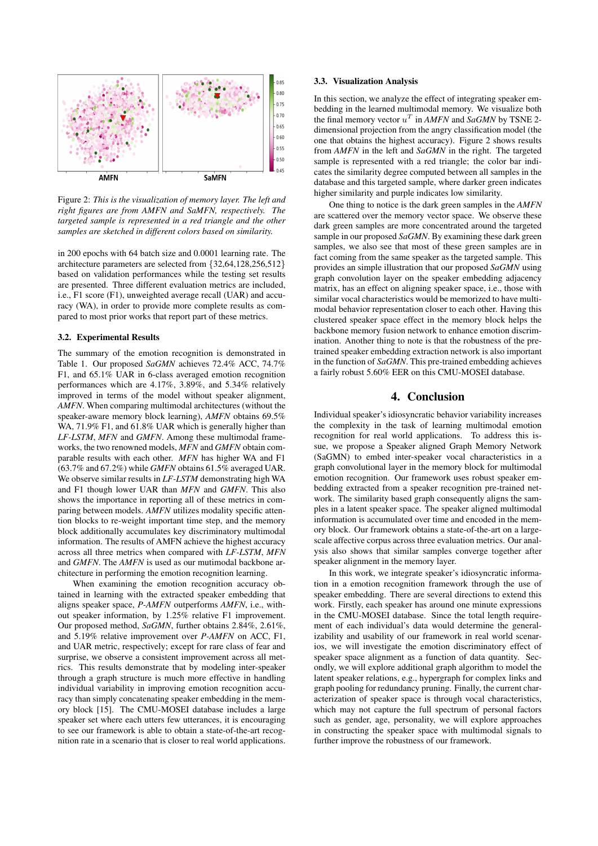

Figure 2: *This is the visualization of memory layer. The left and right figures are from AMFN and SaMFN, respectively. The targeted sample is represented in a red triangle and the other samples are sketched in different colors based on similarity.*

in 200 epochs with 64 batch size and 0.0001 learning rate. The architecture parameters are selected from {32,64,128,256,512} based on validation performances while the testing set results are presented. Three different evaluation metrics are included, i.e., F1 score (F1), unweighted average recall (UAR) and accuracy (WA), in order to provide more complete results as compared to most prior works that report part of these metrics.

#### 3.2. Experimental Results

The summary of the emotion recognition is demonstrated in Table 1. Our proposed *SaGMN* achieves 72.4% ACC, 74.7% F1, and 65.1% UAR in 6-class averaged emotion recognition performances which are 4.17%, 3.89%, and 5.34% relatively improved in terms of the model without speaker alignment, *AMFN*. When comparing multimodal architectures (without the speaker-aware memory block learning), *AMFN* obtains 69.5% WA, 71.9% F1, and 61.8% UAR which is generally higher than *LF-LSTM*, *MFN* and *GMFN*. Among these multimodal frameworks, the two renowned models, *MFN* and *GMFN* obtain comparable results with each other. *MFN* has higher WA and F1 (63.7% and 67.2%) while *GMFN* obtains 61.5% averaged UAR. We observe similar results in *LF-LSTM* demonstrating high WA and F1 though lower UAR than *MFN* and *GMFN*. This also shows the importance in reporting all of these metrics in comparing between models. *AMFN* utilizes modality specific attention blocks to re-weight important time step, and the memory block additionally accumulates key discriminatory multimodal information. The results of AMFN achieve the highest accuracy across all three metrics when compared with *LF-LSTM*, *MFN* and *GMFN*. The *AMFN* is used as our mutimodal backbone architecture in performing the emotion recognition learning.

When examining the emotion recognition accuracy obtained in learning with the extracted speaker embedding that aligns speaker space, *P-AMFN* outperforms *AMFN*, i.e., without speaker information, by 1.25% relative F1 improvement. Our proposed method, *SaGMN*, further obtains 2.84%, 2.61%, and 5.19% relative improvement over *P-AMFN* on ACC, F1, and UAR metric, respectively; except for rare class of fear and surprise, we observe a consistent improvement across all metrics. This results demonstrate that by modeling inter-speaker through a graph structure is much more effective in handling individual variability in improving emotion recognition accuracy than simply concatenating speaker embedding in the memory block [15]. The CMU-MOSEI database includes a large speaker set where each utters few utterances, it is encouraging to see our framework is able to obtain a state-of-the-art recognition rate in a scenario that is closer to real world applications.

## 3.3. Visualization Analysis

In this section, we analyze the effect of integrating speaker embedding in the learned multimodal memory. We visualize both the final memory vector  $u^T$  in *AMFN* and *SaGMN* by TSNE 2dimensional projection from the angry classification model (the one that obtains the highest accuracy). Figure 2 shows results from *AMFN* in the left and *SaGMN* in the right. The targeted sample is represented with a red triangle; the color bar indicates the similarity degree computed between all samples in the database and this targeted sample, where darker green indicates higher similarity and purple indicates low similarity.

One thing to notice is the dark green samples in the *AMFN* are scattered over the memory vector space. We observe these dark green samples are more concentrated around the targeted sample in our proposed *SaGMN*. By examining these dark green samples, we also see that most of these green samples are in fact coming from the same speaker as the targeted sample. This provides an simple illustration that our proposed *SaGMN* using graph convolution layer on the speaker embedding adjacency matrix, has an effect on aligning speaker space, i.e., those with similar vocal characteristics would be memorized to have multimodal behavior representation closer to each other. Having this clustered speaker space effect in the memory block helps the backbone memory fusion network to enhance emotion discrimination. Another thing to note is that the robustness of the pretrained speaker embedding extraction network is also important in the function of *SaGMN*. This pre-trained embedding achieves a fairly robust 5.60% EER on this CMU-MOSEI database.

# 4. Conclusion

Individual speaker's idiosyncratic behavior variability increases the complexity in the task of learning multimodal emotion recognition for real world applications. To address this issue, we propose a Speaker aligned Graph Memory Network (SaGMN) to embed inter-speaker vocal characteristics in a graph convolutional layer in the memory block for multimodal emotion recognition. Our framework uses robust speaker embedding extracted from a speaker recognition pre-trained network. The similarity based graph consequently aligns the samples in a latent speaker space. The speaker aligned multimodal information is accumulated over time and encoded in the memory block. Our framework obtains a state-of-the-art on a largescale affective corpus across three evaluation metrics. Our analysis also shows that similar samples converge together after speaker alignment in the memory layer.

In this work, we integrate speaker's idiosyncratic information in a emotion recognition framework through the use of speaker embedding. There are several directions to extend this work. Firstly, each speaker has around one minute expressions in the CMU-MOSEI database. Since the total length requirement of each individual's data would determine the generalizability and usability of our framework in real world scenarios, we will investigate the emotion discriminatory effect of speaker space alignment as a function of data quantity. Secondly, we will explore additional graph algorithm to model the latent speaker relations, e.g., hypergraph for complex links and graph pooling for redundancy pruning. Finally, the current characterization of speaker space is through vocal characteristics, which may not capture the full spectrum of personal factors such as gender, age, personality, we will explore approaches in constructing the speaker space with multimodal signals to further improve the robustness of our framework.